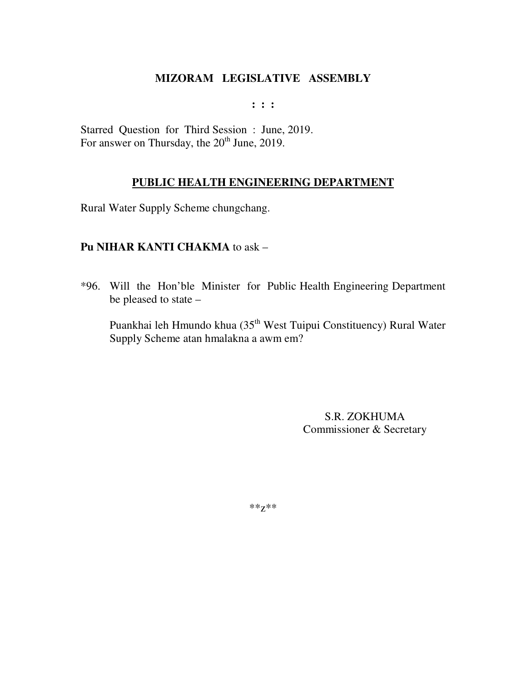$: : :$ 

Starred Question for Third Session: June, 2019. For answer on Thursday, the 20<sup>th</sup> June, 2019.

#### PUBLIC HEALTH ENGINEERING DEPARTMENT

Rural Water Supply Scheme chungchang.

## **Pu NIHAR KANTI CHAKMA** to ask -

\*96. Will the Hon'ble Minister for Public Health Engineering Department be pleased to state -

Puankhai leh Hmundo khua (35<sup>th</sup> West Tuipui Constituency) Rural Water Supply Scheme atan hmalakna a awm em?

> S.R. ZOKHUMA Commissioner & Secretary

 $***Z***$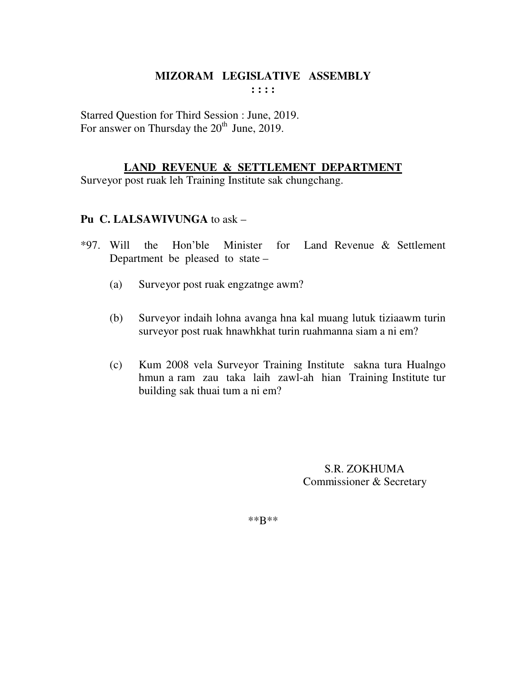Starred Question for Third Session : June, 2019. For answer on Thursday the  $20<sup>th</sup>$  June, 2019.

#### **LAND REVENUE & SETTLEMENT DEPARTMENT**

Surveyor post ruak leh Training Institute sak chungchang.

#### **Pu C. LALSAWIVUNGA** to ask –

- \*97. Will the Hon'ble Minister for Land Revenue & Settlement Department be pleased to state –
	- (a) Surveyor post ruak engzatnge awm?
	- (b) Surveyor indaih lohna avanga hna kal muang lutuk tiziaawm turin surveyor post ruak hnawhkhat turin ruahmanna siam a ni em?
	- (c) Kum 2008 vela Surveyor Training Institute sakna tura Hualngo hmun a ram zau taka laih zawl-ah hian Training Institute tur building sak thuai tum a ni em?

 S.R. ZOKHUMA Commissioner & Secretary

\*\*B\*\*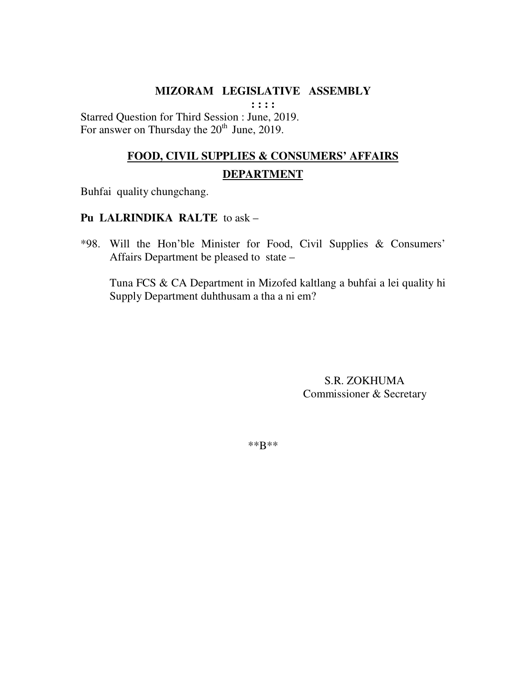$: : : :$ 

Starred Question for Third Session : June, 2019. For answer on Thursday the 20<sup>th</sup> June, 2019.

# FOOD, CIVIL SUPPLIES & CONSUMERS' AFFAIRS **DEPARTMENT**

Buhfai quality chungchang.

#### Pu LALRINDIKA RALTE to ask -

\*98. Will the Hon'ble Minister for Food, Civil Supplies & Consumers' Affairs Department be pleased to state -

Tuna FCS & CA Department in Mizofed kaltlang a buhfai a lei quality hi Supply Department duhthusam a tha a ni em?

> S.R. ZOKHUMA Commissioner & Secretary

\*\* $B***$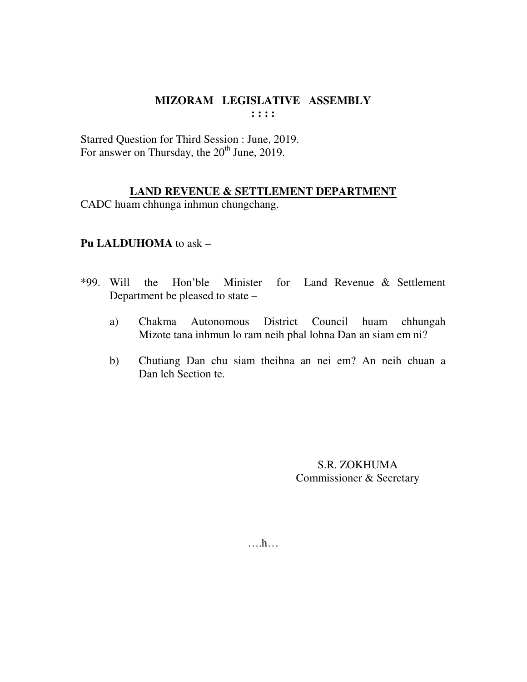Starred Question for Third Session : June, 2019. For answer on Thursday, the 20<sup>th</sup> June, 2019.

#### **LAND REVENUE & SETTLEMENT DEPARTMENT**

CADC huam chhunga inhmun chungchang.

## **Pu LALDUHOMA** to ask –

- \*99. Will the Hon'ble Minister for Land Revenue & Settlement Department be pleased to state –
	- a) Chakma Autonomous District Council huam chhungah Mizote tana inhmun lo ram neih phal lohna Dan an siam em ni?
	- b) Chutiang Dan chu siam theihna an nei em? An neih chuan a Dan leh Section te.

S.R. ZOKHUMA Commissioner & Secretary

….h…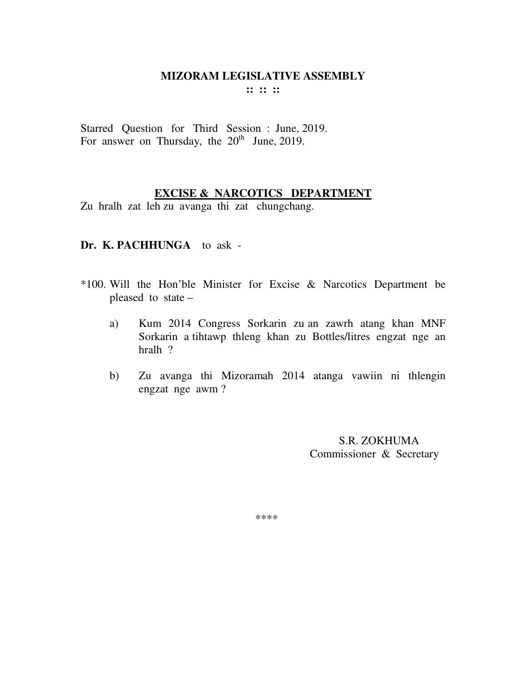Starred Question for Third Session : June, 2019. For answer on Thursday, the  $20<sup>th</sup>$  June, 2019.

#### **EXCISE & NARCOTICS DEPARTMENT**

Zu hralh zat leh zu avanga thi zat chungchang.

#### **Dr. K. PACHHUNGA** to ask -

- \*100. Will the Hon'ble Minister for Excise & Narcotics Department be pleased to state –
	- a) Kum 2014 Congress Sorkarin zu an zawrh atang khan MNF Sorkarin a tihtawp thleng khan zu Bottles/litres engzat nge an hralh ?
	- b) Zu avanga thi Mizoramah 2014 atanga vawiin ni thlengin engzat nge awm ?

 S.R. ZOKHUMA Commissioner & Secretary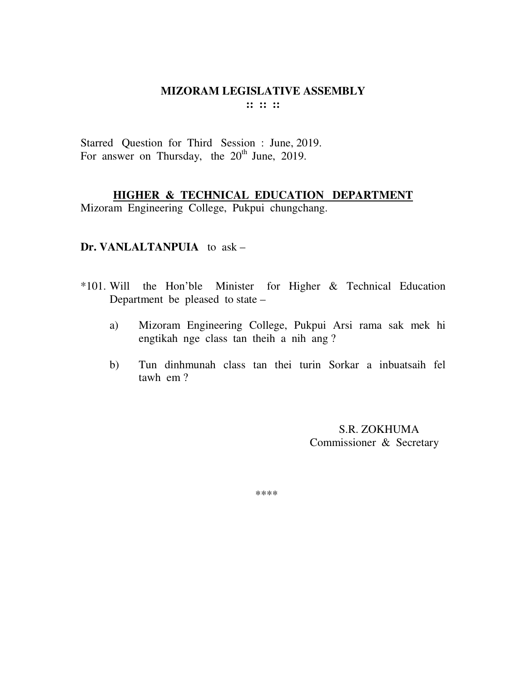Starred Question for Third Session : June, 2019. For answer on Thursday, the  $20<sup>th</sup>$  June, 2019.

# **HIGHER & TECHNICAL EDUCATION DEPARTMENT**

Mizoram Engineering College, Pukpui chungchang.

## **Dr. VANLALTANPUIA** to ask –

- \*101. Will the Hon'ble Minister for Higher & Technical Education Department be pleased to state –
	- a) Mizoram Engineering College, Pukpui Arsi rama sak mek hi engtikah nge class tan theih a nih ang ?
	- b) Tun dinhmunah class tan thei turin Sorkar a inbuatsaih fel tawh em ?

 S.R. ZOKHUMA Commissioner & Secretary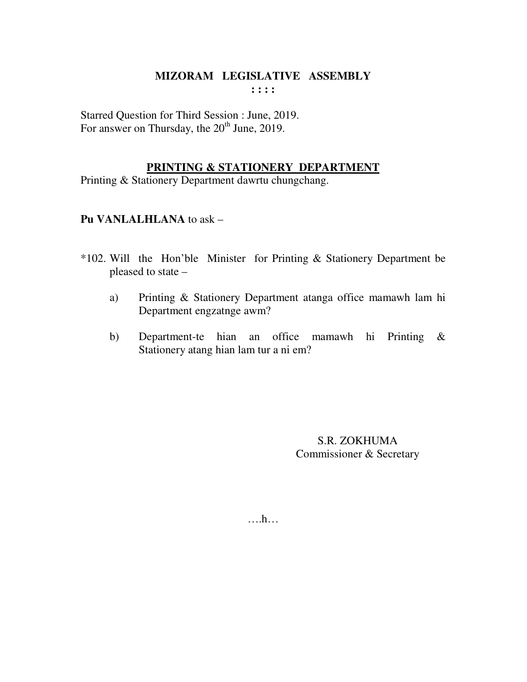Starred Question for Third Session : June, 2019. For answer on Thursday, the 20<sup>th</sup> June, 2019.

## PRINTING & STATIONERY DEPARTMENT

Printing & Stationery Department dawrtu chungchang.

#### Pu VANLALHLANA to ask -

- \*102. Will the Hon'ble Minister for Printing & Stationery Department be pleased to state -
	- Printing & Stationery Department atanga office mamawh lam hi a) Department engzatnge awm?
	- $b)$ Department-te hian an office mamawh hi Printing  $\&$ Stationery atang hian lam tur a ni em?

S.R. ZOKHUMA Commissioner & Secretary

 $\dots h\dots$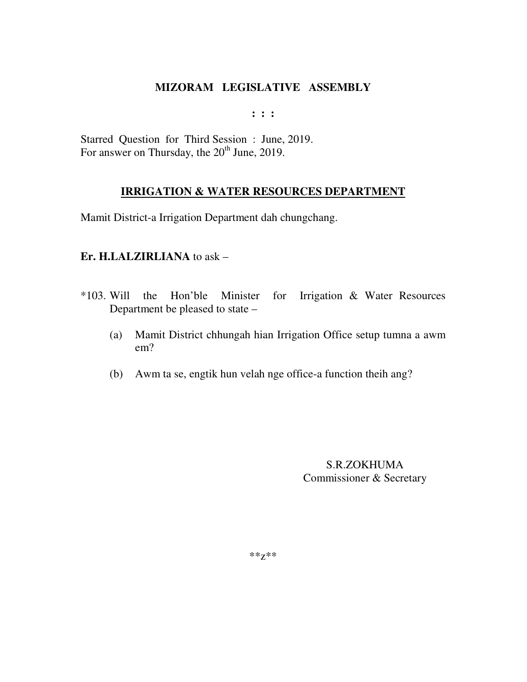$: : :$ 

Starred Question for Third Session: June, 2019. For answer on Thursday, the 20<sup>th</sup> June, 2019.

## **IRRIGATION & WATER RESOURCES DEPARTMENT**

Mamit District-a Irrigation Department dah chungchang.

#### Er. H.LALZIRLIANA to ask -

- $*103$ . Will the Hon'ble Minister for Irrigation & Water Resources Department be pleased to state -
	- Mamit District chhungah hian Irrigation Office setup tumna a awm (a)  $em?$
	- (b) Awm ta se, engtik hun velah nge office-a function theih ang?

**S.R.ZOKHUMA** Commissioner & Secretary

 $***Z***$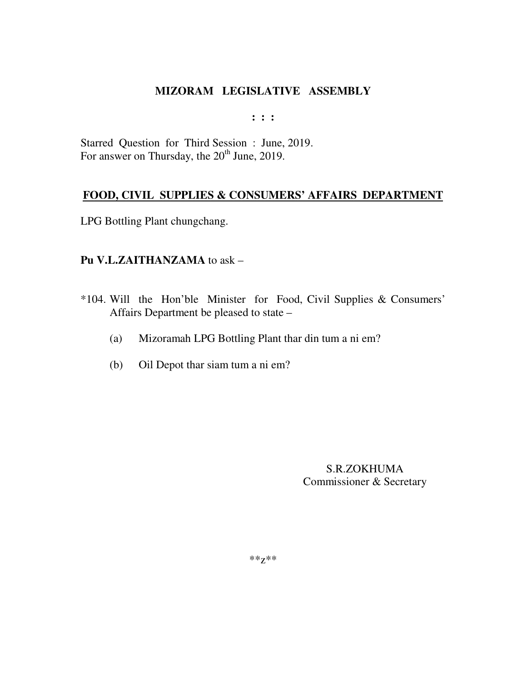**: : :** 

Starred Question for Third Session : June, 2019. For answer on Thursday, the 20<sup>th</sup> June, 2019.

# **FOOD, CIVIL SUPPLIES & CONSUMERS' AFFAIRS DEPARTMENT**

LPG Bottling Plant chungchang.

## **Pu V.L.ZAITHANZAMA** to ask –

- \*104. Will the Hon'ble Minister for Food, Civil Supplies & Consumers' Affairs Department be pleased to state –
	- (a) Mizoramah LPG Bottling Plant thar din tum a ni em?
	- (b) Oil Depot thar siam tum a ni em?

S.R.ZOKHUMA Commissioner & Secretary

\*\*z\*\*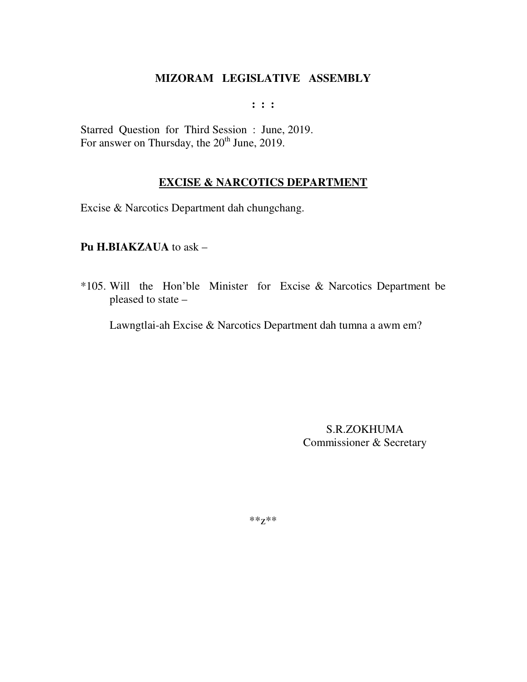$: : :$ 

Starred Question for Third Session: June, 2019. For answer on Thursday, the 20<sup>th</sup> June, 2019.

#### **EXCISE & NARCOTICS DEPARTMENT**

Excise & Narcotics Department dah chungchang.

#### Pu H.BIAKZAUA to ask -

\*105. Will the Hon'ble Minister for Excise & Narcotics Department be pleased to state -

Lawngtlai-ah Excise & Narcotics Department dah tumna a awm em?

**S.R.ZOKHUMA** Commissioner & Secretary

\*\* $Z^{**}$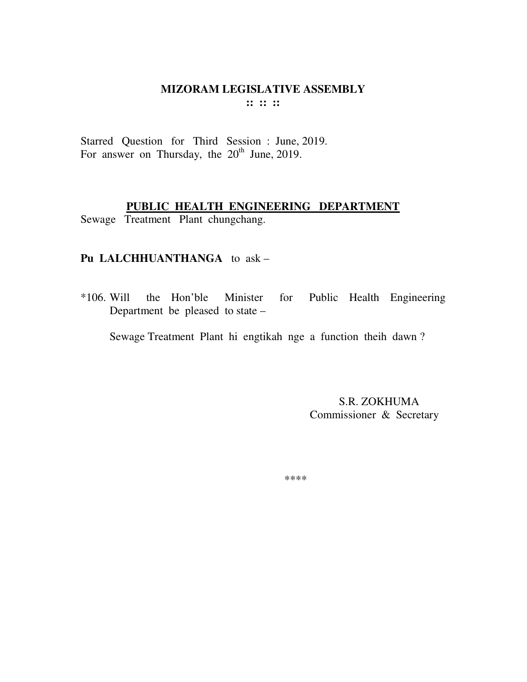#### **MIZORAM LEGISLATIVE ASSEMBLY**  $\mathbf{::} :: \mathbf{::}$

Starred Question for Third Session : June, 2019. For answer on Thursday, the 20<sup>th</sup> June, 2019.

# PUBLIC HEALTH ENGINEERING DEPARTMENT

Sewage Treatment Plant chungchang.

## Pu LALCHHUANTHANGA to ask -

 $*106.$  Will the Hon'ble Minister Public Health Engineering for Department be pleased to state -

Sewage Treatment Plant hi engtikah nge a function theih dawn?

S.R. ZOKHUMA Commissioner & Secretary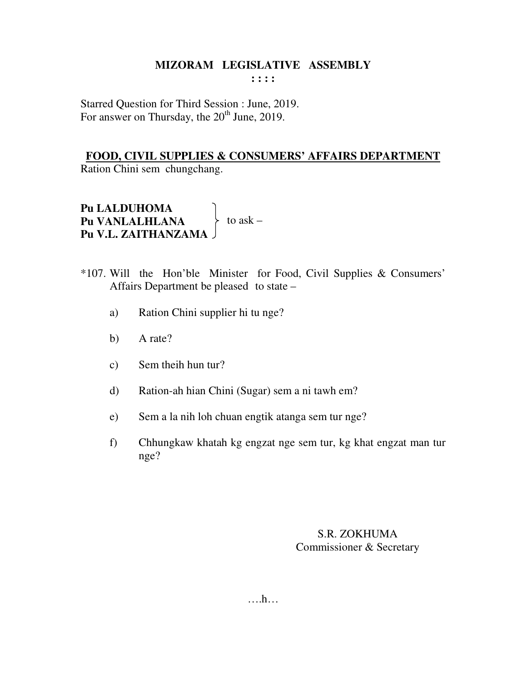**: : : :** 

Starred Question for Third Session : June, 2019. For answer on Thursday, the  $20^{th}$  June, 2019.

**FOOD, CIVIL SUPPLIES & CONSUMERS' AFFAIRS DEPARTMENT** Ration Chini sem chungchang.

**Pu LALDUHOMA Pu VANLALHLANA**  $\uparrow$  to ask – **Pu V.L. ZAITHANZAMA** 

- \*107. Will the Hon'ble Minister for Food, Civil Supplies & Consumers' Affairs Department be pleased to state –
	- a) Ration Chini supplier hi tu nge?
	- b) A rate?
	- c) Sem theih hun tur?
	- d) Ration-ah hian Chini (Sugar) sem a ni tawh em?
	- e) Sem a la nih loh chuan engtik atanga sem tur nge?
	- f) Chhungkaw khatah kg engzat nge sem tur, kg khat engzat man tur nge?

# S.R. ZOKHUMA Commissioner & Secretary

….h…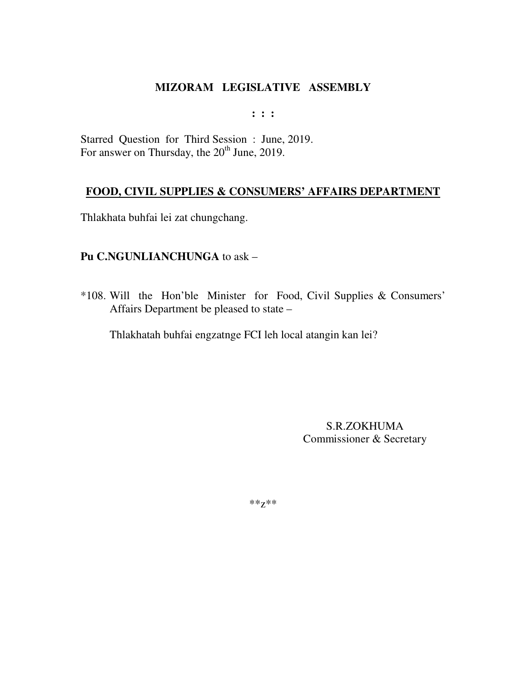**: : :** 

Starred Question for Third Session : June, 2019. For answer on Thursday, the 20<sup>th</sup> June, 2019.

## **FOOD, CIVIL SUPPLIES & CONSUMERS' AFFAIRS DEPARTMENT**

Thlakhata buhfai lei zat chungchang.

## **Pu C.NGUNLIANCHUNGA** to ask –

\*108. Will the Hon'ble Minister for Food, Civil Supplies & Consumers' Affairs Department be pleased to state –

Thlakhatah buhfai engzatnge FCI leh local atangin kan lei?

S.R.ZOKHUMA Commissioner & Secretary

\*\*z\*\*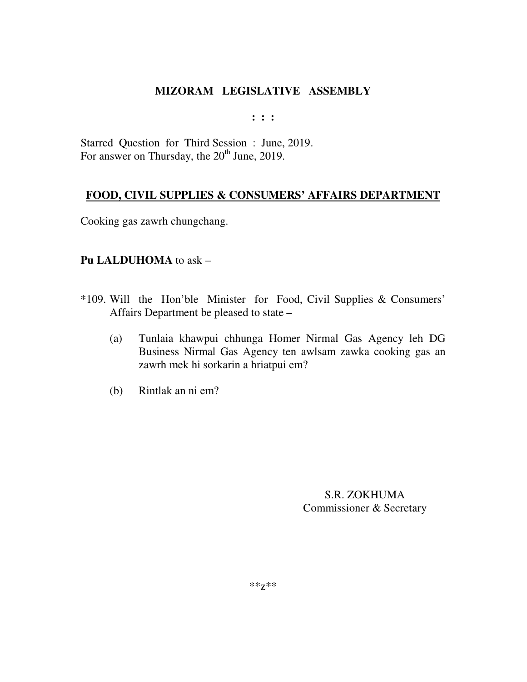**: : :** 

Starred Question for Third Session : June, 2019. For answer on Thursday, the 20<sup>th</sup> June, 2019.

# **FOOD, CIVIL SUPPLIES & CONSUMERS' AFFAIRS DEPARTMENT**

Cooking gas zawrh chungchang.

# **Pu LALDUHOMA** to ask –

- \*109. Will the Hon'ble Minister for Food, Civil Supplies & Consumers' Affairs Department be pleased to state –
	- (a) Tunlaia khawpui chhunga Homer Nirmal Gas Agency leh DG Business Nirmal Gas Agency ten awlsam zawka cooking gas an zawrh mek hi sorkarin a hriatpui em?
	- (b) Rintlak an ni em?

S.R. ZOKHUMA Commissioner & Secretary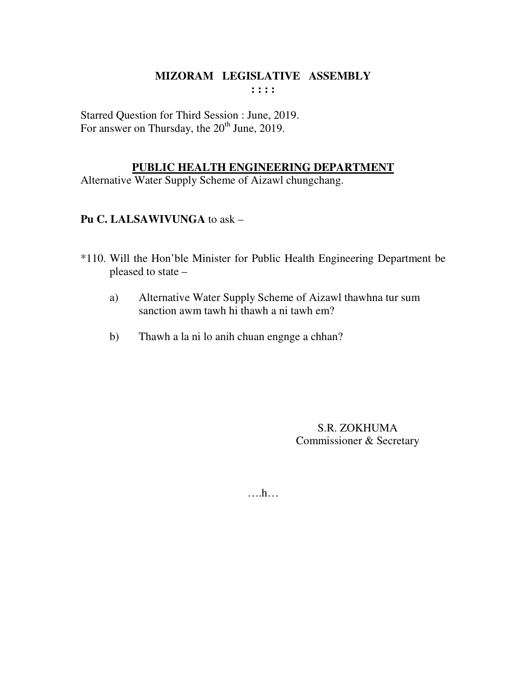Starred Question for Third Session : June, 2019. For answer on Thursday, the 20<sup>th</sup> June, 2019.

#### **PUBLIC HEALTH ENGINEERING DEPARTMENT**

Alternative Water Supply Scheme of Aizawl chungchang.

# **Pu C. LALSAWIVUNGA** to ask –

- \*110. Will the Hon'ble Minister for Public Health Engineering Department be pleased to state –
	- a) Alternative Water Supply Scheme of Aizawl thawhna tur sum sanction awm tawh hi thawh a ni tawh em?
	- b) Thawh a la ni lo anih chuan engnge a chhan?

S.R. ZOKHUMA Commissioner & Secretary

….h…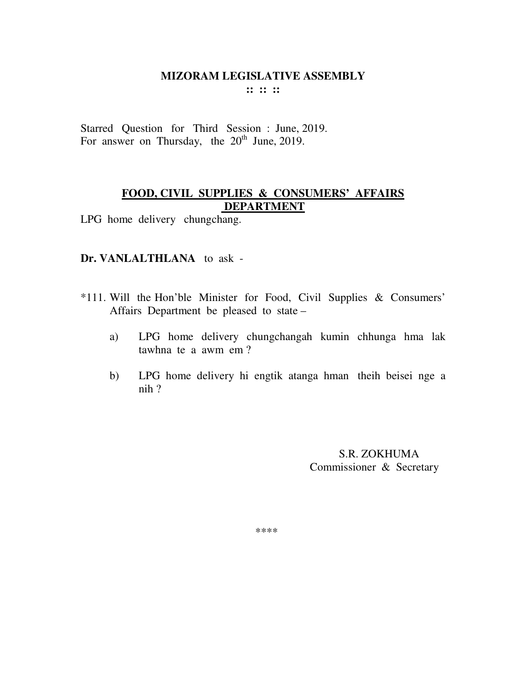Starred Question for Third Session : June, 2019. For answer on Thursday, the  $20<sup>th</sup>$  June, 2019.

## **FOOD, CIVIL SUPPLIES & CONSUMERS' AFFAIRS DEPARTMENT**

LPG home delivery chungchang.

#### **Dr. VANLALTHLANA** to ask -

- \*111. Will the Hon'ble Minister for Food, Civil Supplies & Consumers' Affairs Department be pleased to state –
	- a) LPG home delivery chungchangah kumin chhunga hma lak tawhna te a awm em ?
	- b) LPG home delivery hi engtik atanga hman theih beisei nge a nih ?

 S.R. ZOKHUMA Commissioner & Secretary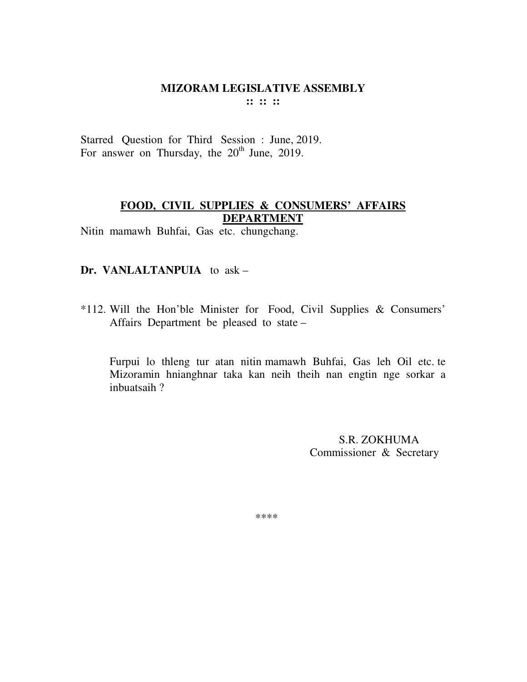Starred Question for Third Session : June, 2019. For answer on Thursday, the  $20^{th}$  June, 2019.

# **FOOD, CIVIL SUPPLIES & CONSUMERS' AFFAIRS DEPARTMENT**

Nitin mamawh Buhfai, Gas etc. chungchang.

#### **Dr. VANLALTANPUIA** to ask –

\*112. Will the Hon'ble Minister for Food, Civil Supplies & Consumers' Affairs Department be pleased to state –

Furpui lo thleng tur atan nitin mamawh Buhfai, Gas leh Oil etc. te Mizoramin hnianghnar taka kan neih theih nan engtin nge sorkar a inbuatsaih ?

> S.R. ZOKHUMA Commissioner & Secretary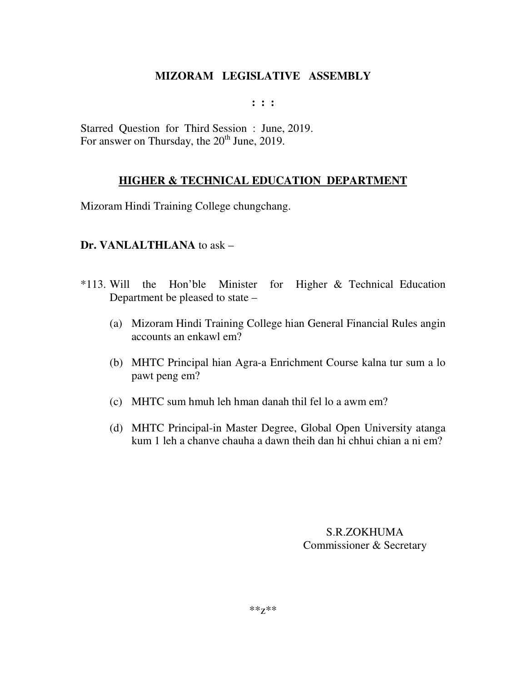**: : :** 

Starred Question for Third Session : June, 2019. For answer on Thursday, the 20<sup>th</sup> June, 2019.

# **HIGHER & TECHNICAL EDUCATION DEPARTMENT**

Mizoram Hindi Training College chungchang.

# **Dr. VANLALTHLANA** to ask –

- \*113. Will the Hon'ble Minister for Higher & Technical Education Department be pleased to state –
	- (a) Mizoram Hindi Training College hian General Financial Rules angin accounts an enkawl em?
	- (b) MHTC Principal hian Agra-a Enrichment Course kalna tur sum a lo pawt peng em?
	- (c) MHTC sum hmuh leh hman danah thil fel lo a awm em?
	- (d) MHTC Principal-in Master Degree, Global Open University atanga kum 1 leh a chanve chauha a dawn theih dan hi chhui chian a ni em?

S.R.ZOKHUMA Commissioner & Secretary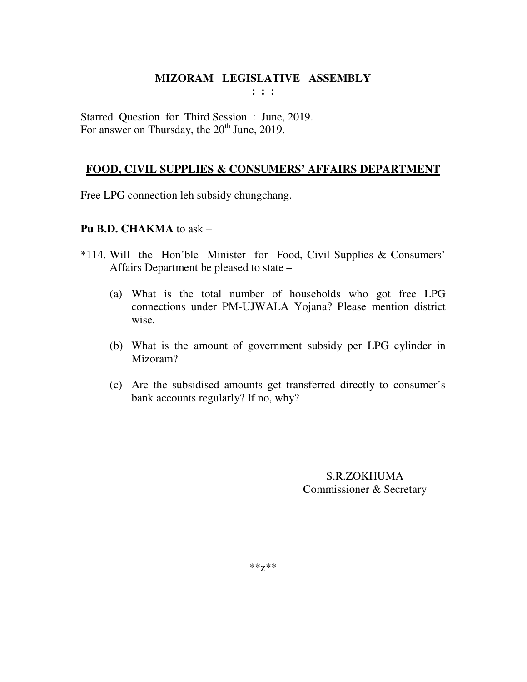**: : :** 

Starred Question for Third Session : June, 2019. For answer on Thursday, the  $20<sup>th</sup>$  June, 2019.

## **FOOD, CIVIL SUPPLIES & CONSUMERS' AFFAIRS DEPARTMENT**

Free LPG connection leh subsidy chungchang.

## **Pu B.D. CHAKMA** to ask –

- \*114. Will the Hon'ble Minister for Food, Civil Supplies & Consumers' Affairs Department be pleased to state –
	- (a) What is the total number of households who got free LPG connections under PM-UJWALA Yojana? Please mention district wise.
	- (b) What is the amount of government subsidy per LPG cylinder in Mizoram?
	- (c) Are the subsidised amounts get transferred directly to consumer's bank accounts regularly? If no, why?

S.R.ZOKHUMA Commissioner & Secretary